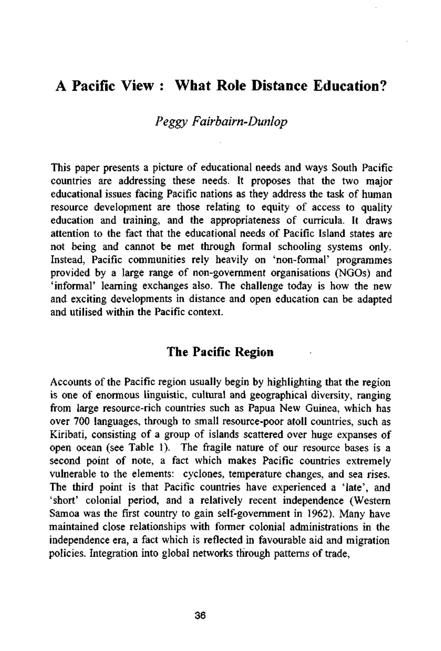## A Pacific View : What Role Distance Education?

### *Peggy Fairbairn-Dunlop*

This paper presents a picture of educational needs and ways South Pacific countries are addressing these needs. It proposes that the two major educational issues facing Pacific nations as they address the task of human resource development are those relating to equity of access to quality education and training, and the appropriateness of curricula. It draws attention to the fact that the educational needs of Pacific Island states are not being and cannot be met through formal schooling systems only. Instead, Pacific communities rely heavily on 'non-formal' programmes provided by a large range of non-government organisations (NGOs) and 'informal' learning exchanges also. The challenge today is how the new and exciting developments in distance and open education can be adapted and utilised within the Pacific context.

## **The Pacific Region**

Accounts of the Pacific region usually begin by highlighting that the region is one of enormous linguistic, cultural and geographical diversity, ranging from large resource-rich countries such as Papua New Guinea, which has over 700 languages, through to small resource-poor atoll countries, such as Kiribati, consisting of a group of islands scattered over huge expanses of open ocean (see Table 1). The fragile nature of our resource bases is a second point of note, a fact which makes Pacific countries extremely vulnerable to the elements: cyclones, temperature changes, and sea rises. The third point is that Pacific countries have experienced a 'late', and 'short' colonial period, and a relatively recent independence (Western Samoa was the first country to gain self-government in 1962). Many have maintained close relationships with former colonial administrations in the independence era, a fact which is reflected in favourable aid and migration policies. Integration into global networks through patterns of trade,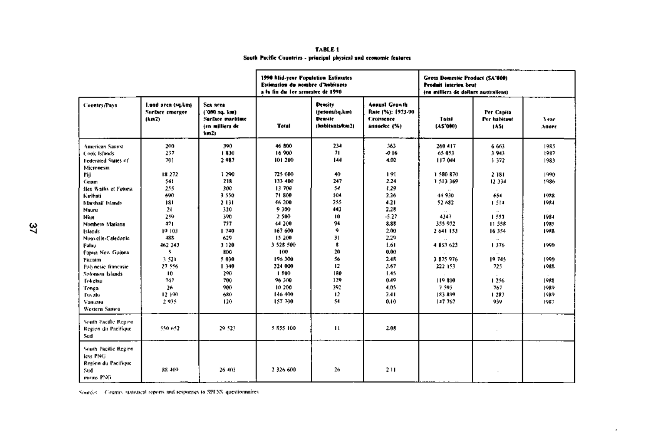|                                                                             |                                              |                                                                          | 1990 Mid-year Population Estimates<br>Estimation du nombre d'habitants<br>a la fin du les semestre de 1990. |                                                                       | Gross Domestic Product (SA'000)<br>Produit interies brut<br>ten milliers de dollars australiens) |                                 |                                    |                      |
|-----------------------------------------------------------------------------|----------------------------------------------|--------------------------------------------------------------------------|-------------------------------------------------------------------------------------------------------------|-----------------------------------------------------------------------|--------------------------------------------------------------------------------------------------|---------------------------------|------------------------------------|----------------------|
| <b>Country/Pays</b>                                                         | Land area (sq.km)<br>Sorface emergee<br>1km2 | Sex area<br>('000 sq. km)<br>Surface maritime<br>(en milliers de<br>km21 | <b>Total</b>                                                                                                | <b>Density</b><br>(prsons/sq.km)<br><b>Densite</b><br>(habitants/km2) | <b>Annual Growth</b><br>Rate (%): 1973-90<br>Croissence<br>annuclee (%)                          | Total<br>(AS'000)               | Per Cantia<br>Per habitant<br>1451 | 3 eac<br>Annee       |
| <b>American Sanna</b><br>Cook Islands                                       | 200<br>237                                   | 390<br>1830                                                              | 46 800<br>16 900                                                                                            | 234<br>71.                                                            | 363<br>$-0.16$                                                                                   | 260 417<br>65 053               | 6 6 6 3<br>3.943                   | 1985<br>1987         |
| Federated States of<br>Micronesia                                           | 701                                          | 2987                                                                     | 101 200                                                                                                     | 144                                                                   | 4.02                                                                                             | 117 044                         | 1372                               | 1983                 |
| Fiji<br>Coam                                                                | 18 272<br>541                                | 1 290<br>218                                                             | 725 000<br>133 400                                                                                          | 40<br>247                                                             | 191<br>2.24                                                                                      | 1580 870<br>1 513 369           | 2 18 1<br>12 334                   | 1990<br>1986         |
| fles Wallis et Futuna<br>Kıribati                                           | 255<br>690                                   | 300<br>3 550                                                             | 13 700<br>71 800                                                                                            | 54<br>104                                                             | 1.29<br>2.26                                                                                     | 44 930                          | 654                                | 1988                 |
| Marshalf Islands<br>Nauru                                                   | 181<br>21                                    | 2 131<br>320                                                             | 46 200<br>9300                                                                                              | 255<br>443                                                            | 4.21<br>2.28                                                                                     | 52 682<br>$\ddotsc$             | 1.514<br>$\ddot{\phantom{a}}$      | 1984                 |
| Nine<br>Northern Mariana                                                    | 259<br>471<br>19 103                         | 390<br>777<br>1740                                                       | 2 500<br>44 200<br>167 600                                                                                  | 10<br>94<br>۰                                                         | $-5.27$<br>8.88<br>2.00                                                                          | 4347<br>355 972<br>2 641 153    | 1.550<br>11.558<br>16 354          | 1984<br>1985<br>1988 |
| Islands<br>Nouvelle-Caledonic<br>Palau                                      | 188<br>462 243                               | 629<br>3 1 2 0                                                           | 15 200<br>3 528 500                                                                                         | 31<br>$\bullet$                                                       | 2.29<br>1.61                                                                                     | $\ddot{\phantom{a}}$<br>4853623 | $\sim$<br>1376                     | 1990                 |
| Papua New Guines<br>Pitcaim                                                 | 5.<br>3.521                                  | 800<br>5 030                                                             | 100<br>196.300                                                                                              | 20<br>56                                                              | 0.00<br>2.4R                                                                                     | 3 875 976                       | 19.745                             | 1990                 |
| Polynesie francasie<br>Sofonen Islands                                      | 27.556<br>10                                 | 1 340<br>290                                                             | 324 000<br>1800                                                                                             | 12<br>180                                                             | 3.67<br>1.45                                                                                     | 222 153                         | 725                                | 1988                 |
| Fokelau<br>Tonga                                                            | 747<br>26                                    | 700<br>900                                                               | 96 300<br>10.200                                                                                            | 129<br>392                                                            | 0.49<br>4.05                                                                                     | 119 800<br>7.595                | 1.256<br>767                       | <b>LORS</b><br>1989  |
| <b>Tus alu</b><br>Vanuatu<br>Western Santoa                                 | 12.190<br>2.935                              | 680<br>120                                                               | 146 400<br>157 700                                                                                          | 12<br>54                                                              | 2.41<br>0.10                                                                                     | 183 899<br>117 767              | 1 283<br>939                       | 1989<br>1987         |
| South Pacific Region<br>Region du Pacifique<br>Sud                          | 550.652                                      | 29.523                                                                   | 5855100                                                                                                     | $\mathbf{u}$                                                          | 2.08                                                                                             |                                 |                                    |                      |
| South Pacific Region<br>less PNG<br>Region du Pacifique<br>Sud<br>monts PNG | 88.409                                       | 26 403                                                                   | 2 326 600                                                                                                   | 26                                                                    | 211                                                                                              |                                 |                                    |                      |

 $\epsilon$ 

**TABLE 1 South Pacific Countries - principal physical and economic features** 

Sources Country statistical reports and responses to SPFSS questionnaires.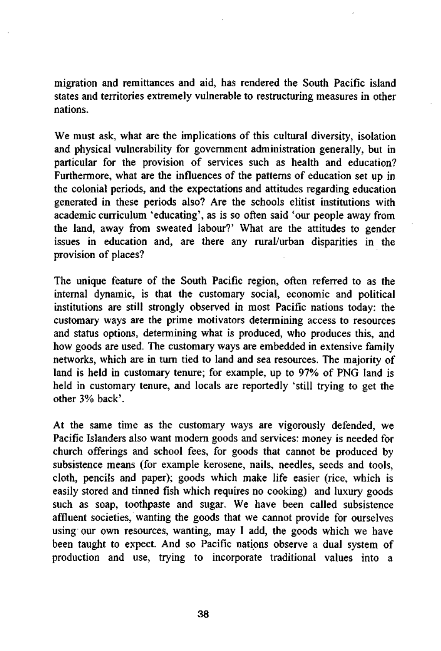migration and remittances and aid, has rendered the South Pacific island states and territories extremely vulnerable to restructuring measures in other nations.

We must ask, what are the implications of this cultural diversity, isolation and physical vulnerability for government administration generally, but in particular for the provision of services such as health and education? Furthermore, what are the influences of the patterns of education set up in the colonial periods, and the expectations and attitudes regarding education generated in these periods also? Are the schools elitist institutions with academic curriculum 'educating', as is so often said 'our people away from the land, away from sweated labour?' What are the attitudes to gender issues in education and, are there any rural/urban disparities in the provision of places?

The unique feature of the South Pacific region, often referred to as the internal dynamic, is that the customary social, economic and political institutions are still strongly observed in most Pacific nations today: the customary ways are the prime motivators determining access to resources and status options, determining what is produced, who produces this, and how goods are used. The customary ways are embedded in extensive family networks, which are in turn tied to land and sea resources. The majority of land is held in customary tenure; for example, up to 97% of PNG land is held in customary tenure, and locals are reportedly 'still trying to get the other 3% back'.

At the same time as the customary ways are vigorously defended, we Pacific Islanders also want modern goods and services: money is needed for church offerings and school fees, for goods that cannot be produced by subsistence means (for example kerosene, nails, needles, seeds and tools, cloth, pencils and paper); goods which make life easier (rice, which is easily stored and tinned fish which requires no cooking) and luxury goods such as soap, toothpaste and sugar. We have been called subsistence affluent societies, wanting the goods that we cannot provide for ourselves using our own resources, wanting, may I add, the goods which we have been taught to expect. And so Pacific nations observe a dual system of production and use, trying to incorporate traditional values into a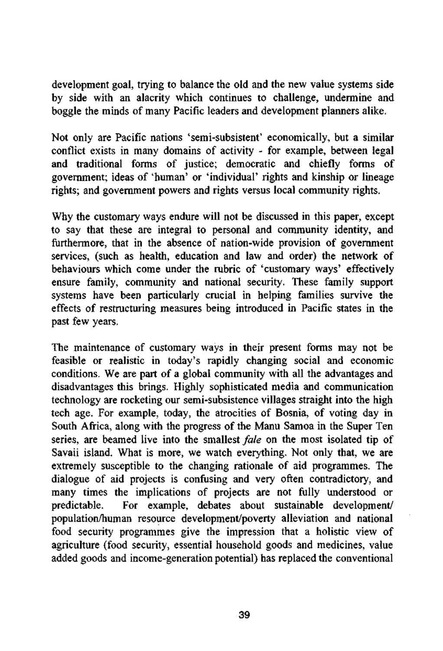development goal, trying to balance the old and the new value systems side by side with an alacrity which continues to challenge, undermine and boggle the minds of many Pacific leaders and development planners alike.

Not only are Pacific nations 'semi-subsistent' economically, but a similar conflict exists in many domains of activity - for example, between legal and traditional forms of justice; democratic and chiefly forms of government; ideas of 'human' or 'individual' rights and kinship or lineage rights; and government powers and rights versus local community rights.

Why the customary ways endure will not be discussed in this paper, except to say that these are integral to personal and community identity, and furthermore, that in the absence of nation-wide provision of government services, (such as health, education and law and order) the network of behaviours which come under the rubric of 'customary ways' effectively ensure family, community and national security. These family support systems have been particularly crucial in helping families survive the effects of restructuring measures being introduced in Pacific states in the past few years.

The maintenance of customary ways in their present forms may not be feasible or realistic in today's rapidly changing social and economic conditions. We are part of a global community with all the advantages and disadvantages this brings. Highly sophisticated media and communication technology are rocketing our semi-subsistence villages straight into the high tech age. For example, today, the atrocities of Bosnia, of voting day in South Africa, along with the progress of the Manu Samoa in the Super Ten series, are beamed live into the smallest *fale* on the most isolated tip of Savaii island. What is more, we watch everything. Not only that, we are extremely susceptible to the changing rationale of aid programmes. The dialogue of aid projects is confusing and very often contradictory, and many times the implications of projects are not fully understood or predictable. For example, debates about sustainable development/ population/human resource development/poverty alleviation and national food security programmes give the impression that a holistic view of agriculture (food security, essential household goods and medicines, value added goods and income-generation potential) has replaced the conventional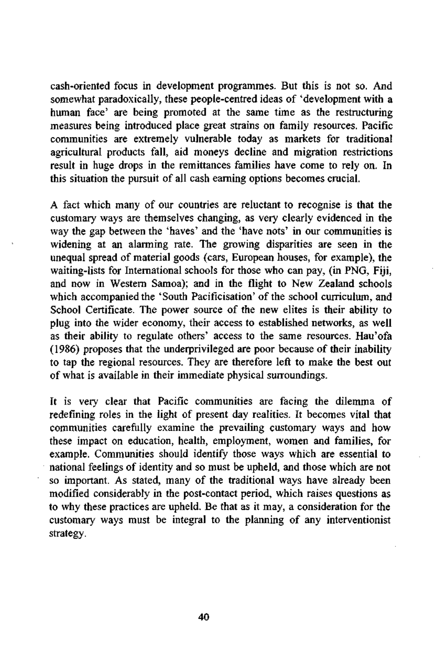cash-oriented focus in development programmes. But this is not so. And somewhat paradoxically, these people-centred ideas of 'development with a human face' are being promoted at the same time as the restructuring measures being introduced place great strains on family resources. Pacific communities are extremely vulnerable today as markets for traditional agricultural products fall, aid moneys decline and migration restrictions result in huge drops in the remittances families have come to rely on. In this situation the pursuit of all cash earning options becomes crucial.

A fact which many of our countries are reluctant to recognise is that the customary ways are themselves changing, as very clearly evidenced in the way the gap between the 'haves' and the 'have nots' in our communities is widening at an alarming rate. The growing disparities are seen in the unequal spread of material goods (cars, European houses, for example), the waiting-lists for International schools for those who can pay, (in PNG, Fiji, and now in Western Samoa); and in the flight to New Zealand schools which accompanied the 'South Pacificisation' of the school curriculum, and School Certificate. The power source of the new elites is their ability to plug into the wider economy, their access to established networks, as well as their ability to regulate others' access to the same resources. Hau'ofa (1986) proposes that the underprivileged are poor because of their inability to tap the regional resources. They are therefore left to make the best out of what is available in their immediate physical surroundings.

It is very clear that Pacific communities are facing the dilemma of redefining roles in the light of present day realities. It becomes vital that communities carefully examine the prevailing customary ways and how these impact on education, health, employment, women and families, for example. Communities should identify those ways which are essential to national feelings of identity and so must be upheld, and those which are not so important. As stated, many of the traditional ways have already been modified considerably in the post-contact period, which raises questions as to why these practices are upheld. Be that as it may, a consideration for the customary ways must be integral to the planning of any interventionist strategy.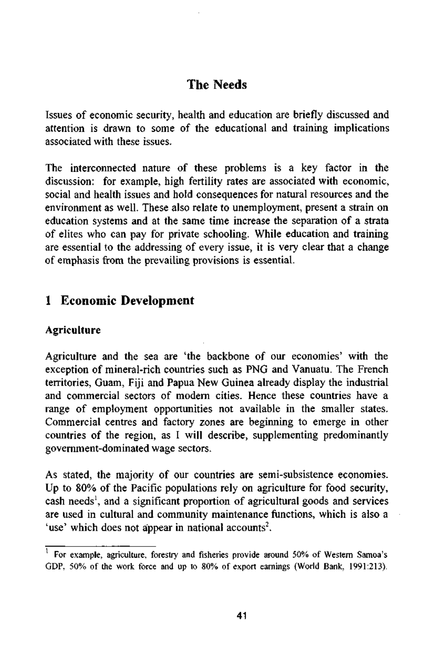# **The Needs**

Issues of economic security, health and education are briefly discussed and attention is drawn to some of the educational and training implications associated with these issues.

The interconnected nature of these problems is a key factor in the discussion: for example, high fertility rates are associated with economic, social and health issues and hold consequences for natural resources and the environment as well. These also relate to unemployment, present a strain on education systems and at the same time increase the separation of a strata of elites who can pay for private schooling. While education and training are essential to the addressing of every issue, it is very clear that a change of emphasis from the prevailing provisions is essential.

## **1 Economic Development**

### **Agriculture**

Agriculture and the sea are 'the backbone of our economies' with the exception of mineral-rich countries such as PNG and Vanuatu. The French territories, Guam, Fiji and Papua New Guinea already display the industrial and commercial sectors of modern cities. Hence these countries have a range of employment opportunities not available in the smaller states. Commercial centres and factory zones are beginning to emerge in other countries of the region, as I will describe, supplementing predominantly government-dominated wage sectors.

As stated, the majority of our countries are semi-subsistence economies. Up to 80% of the Pacific populations rely on agriculture for food security, cash needs<sup>1</sup>, and a significant proportion of agricultural goods and services are used in cultural and community maintenance functions, which is also a 'use' which does not appear in national accounts<sup>2</sup>.

 $<sup>1</sup>$  For example, agriculture, forestry and fisheries provide around 50% of Western Samoa's</sup> GDP, 50% of the work force and up to 80% of export earnings (World Bank, 1991:213).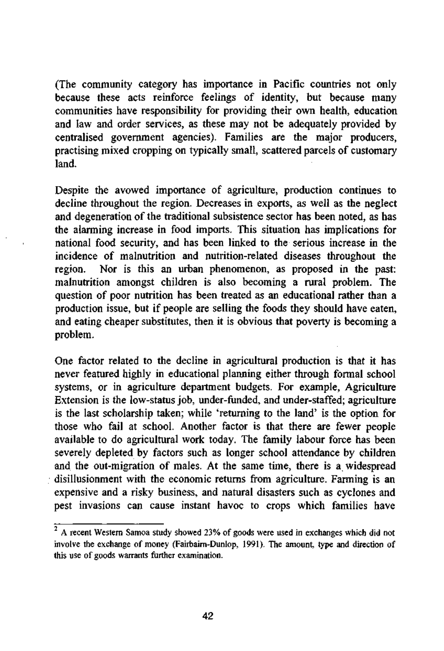(The community category has importance in Pacific countries not only because these acts reinforce feelings of identity, but because many communities have responsibility for providing their own health, education and law and order services, as these may not be adequately provided by centralised government agencies). Families are the major producers, practising mixed cropping on typically small, scattered parcels of customary land.

Despite the avowed importance of agriculture, production continues to decline throughout the region. Decreases in exports, as well as the neglect and degeneration of the traditional subsistence sector has been noted, as has the alarming increase in food imports. This situation has implications for national food security, and has been linked to the serious increase in the incidence of malnutrition and nutrition-related diseases throughout the region. Nor is this an urban phenomenon, as proposed in the past: malnutrition amongst children is also becoming a rural problem. The question of poor nutrition has been treated as an educational rather than a production issue, but if people are selling the foods they should have eaten, and eating cheaper substitutes, then it is obvious that poverty is becoming a problem.

One factor related to the decline in agricultural production is that it has never featured highly in educational planning either through formal school systems, or in agriculture department budgets. For example, Agriculture Extension is the low-status job, under-funded, and under-staffed; agriculture is the last scholarship taken; while 'returning to the land' is the option for those who fail at school. Another factor is that there are fewer people available to do agricultural work today. The family labour force has been severely depleted by factors such as longer school attendance by children and the out-migration of males. At the same time, there is a widespread disillusionment with the economic returns from agriculture. Farming is an expensive and a risky business, and natural disasters such as cyclones and pest invasions can cause instant havoc to crops which families have

 $2^2$  A recent Western Samoa study showed 23% of goods were used in exchanges which did not involve the exchange of money (Fairbairn-Dunlop, 1991). The amount, type and direction of this use of goods warrants further examination.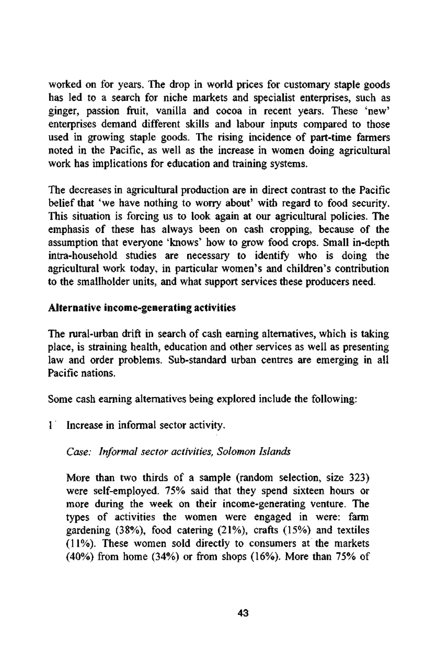worked on for years. The drop in world prices for customary staple goods has led to a search for niche markets and specialist enterprises, such as ginger, passion fruit, vanilla and cocoa in recent years. These 'new' enterprises demand different skills and labour inputs compared to those used in growing staple goods. The rising incidence of part-time farmers noted in the Pacific, as well as the increase in women doing agricultural work has implications for education and training systems.

The decreases in agricultural production are in direct contrast to the Pacific belief that 'we have nothing to worry about' with regard to food security. This situation is forcing us to look again at our agricultural policies. The emphasis of these has always been on cash cropping, because of the assumption that everyone 'knows' how to grow food crops. Small in-depth intra-household studies are necessary to identify who is doing the agricultural work today, in particular women's and children's contribution to the smallholder units, and what support services these producers need.

### **Alternative income-generating activities**

The rural-urban drift in search of cash earning alternatives, which is taking place, is straining health, education and other services as well as presenting law and order problems. Sub-standard urban centres are emerging in all Pacific nations.

Some cash earning alternatives being explored include the following:

1 Increase in informal sector activity.

### *Case: Informal sector activities, Solomon Islands*

More than two thirds of a sample (random selection, size 323) were self-employed. 75% said that they spend sixteen hours or more during the week on their income-generating venture. The types of activities the women were engaged in were: farm gardening (38%), food catering (21%), crafts (15%) and textiles (11%). These women sold directly to consumers at the markets (40%) from home (34%) or from shops (16%). More than 75% of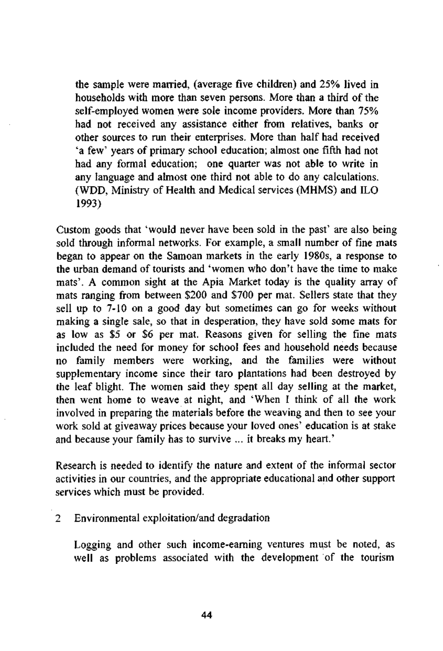the sample were married, (average five children) and 25% lived in households with more than seven persons. More than a third of the self-employed women were sole income providers. More than 75% had not received any assistance either from relatives, banks or other sources to run their enterprises. More than half had received 'a few' years of primary school education; almost one fifth had not had any formal education; one quarter was not able to write in any language and almost one third not able to do any calculations. (WDD, Ministry of Health and Medical services (MHMS) and ILO 1993)

Custom goods that 'would never have been sold in the past' are also being sold through informal networks. For example, a small number of fine mats began to appear on the Samoan markets in the early 1980s, a response to the urban demand of tourists and 'women who don't have the time to make mats'. A common sight at the Apia Market today is the quality array of mats ranging from between \$200 and \$700 per mat. Sellers state that they sell up to 7-10 on a good day but sometimes can go for weeks without making a single sale, so that in desperation, they have sold some mats for as low as \$5 or \$6 per mat. Reasons given for selling the fine mats included the need for money for school fees and household needs because no family members were working, and the families were without supplementary income since their taro plantations had been destroyed by the leaf blight. The women said they spent all day selling at the market, then went home to weave at night, and 'When I think of all the work involved in preparing the materials before the weaving and then to see your work sold at giveaway prices because your loved ones' education is at stake and because your family has to survive ... it breaks my heart.'

Research is needed to identify the nature and extent of the informal sector activities in our countries, and the appropriate educational and other support services which must be provided.

### 2 Environmental exploitation/and degradation

Logging and other such income-earning ventures must be noted, as well as problems associated with the development of the tourism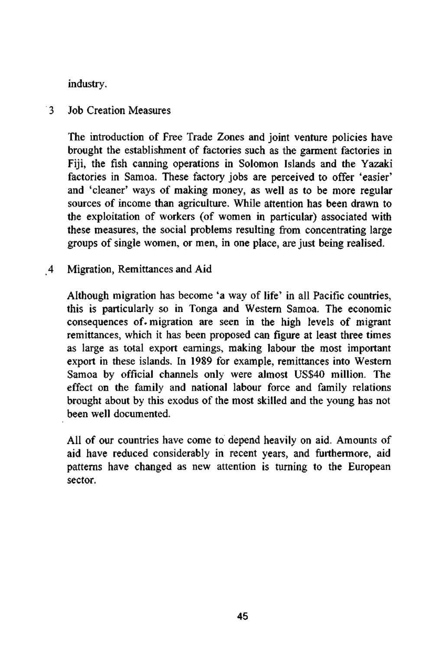industry.

3 Job Creation Measures

The introduction of Free Trade Zones and joint venture policies have brought the establishment of factories such as the garment factories in Fiji, the fish canning operations in Solomon Islands and the Yazaki factories in Samoa. These factory jobs are perceived to offer 'easier' and 'cleaner' ways of making money, as well as to be more regular sources of income than agriculture. While attention has been drawn to the exploitation of workers (of women in particular) associated with these measures, the social problems resulting from concentrating large groups of single women, or men, in one place, are just being realised.

*4* **Migration, Remittances and Aid** 

Although migration has become 'a way of life' in all Pacific countries, this is particularly so in Tonga and Western Samoa. The economic consequences of. migration are seen in the high levels of migrant remittances, which it has been proposed can figure at least three times as large as total export earnings, making labour the most important export in these islands. In 1989 for example, remittances into Western Samoa by official channels only were almost US\$40 million. The effect on the family and national labour force and family relations brought about by this exodus of the most skilled and the young has not been well documented.

All of our countries have come to depend heavily on aid. Amounts of aid have reduced considerably in recent years, and furthermore, aid patterns have changed as new attention is turning to the European sector.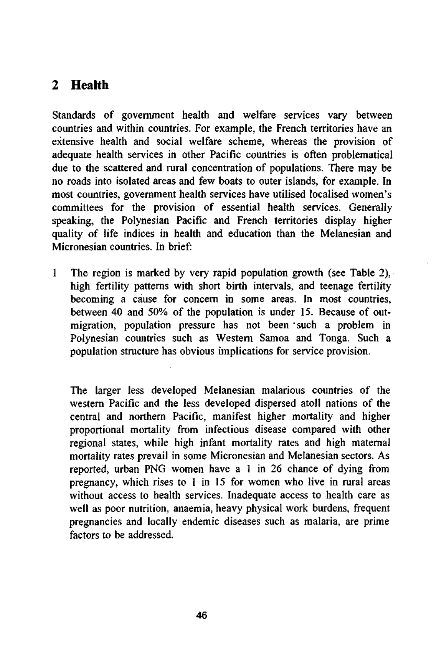## **2 Health**

Standards of government health and welfare services vary between countries and within countries. For example, the French territories have an extensive health and social welfare scheme, whereas the provision of adequate health services in other Pacific countries is often problematical due to the scattered and rural concentration of populations. There may be no roads into isolated areas and few boats to outer islands, for example. In most countries, government health services have utilised localised women's committees for the provision of essential health services. Generally speaking, the Polynesian Pacific and French territories display higher quality of life indices in health and education than the Melanesian and Micronesian countries. In brief:

1 The region is marked by very rapid population growth (see Table 2), high fertility patterns with short birth intervals, and teenage fertility becoming a cause for concern in some areas. In most countries, between 40 and 50% of the population is under 15. Because of outmigration, population pressure has not been "such a problem in Polynesian countries such as Western Samoa and Tonga. Such a population structure has obvious implications for service provision.

The larger less developed Melanesian malarious countries of the western Pacific and the less developed dispersed atoll nations of the central and northern Pacific, manifest higher mortality and higher proportional mortality from infectious disease compared with other regional states, while high infant mortality rates and high maternal mortality rates prevail in some Micronesian and Melanesian sectors. As reported, urban PNG women have a 1 in 26 chance of dying from pregnancy, which rises to 1 in 15 for women who live in rural areas without access to health services. Inadequate access to health care as well as poor nutrition, anaemia, heavy physical work burdens, frequent pregnancies and locally endemic diseases such as malaria, are prime factors to be addressed.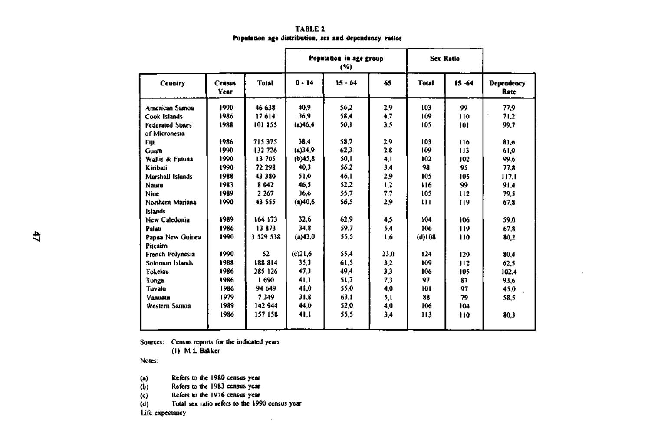#### **TABLE 2 Population age distribution, sex and dependency ratios**

|                                          | Census<br>Year | <b>Total</b> | Population in age group<br>(%) |           | <b>Sex Ratio</b> |              |                |                           |
|------------------------------------------|----------------|--------------|--------------------------------|-----------|------------------|--------------|----------------|---------------------------|
| <b>Country</b>                           |                |              | 0.14                           | $15 - 64$ | 65               | <b>Total</b> | $15 - 64$      | <b>Dependency</b><br>Rate |
| American Samoa                           | 1990           | 46 638       | 40.9                           | 56,2      | 2,9              | 103          | 99             | 77.9                      |
| Cook Islands                             | 1986           | 17614        | 36,9                           | 58.4      | 4.7              | 109          | 110            | 71.2                      |
| <b>Federated States</b><br>of Micronesia | 1988           | 101 155      | (a)46.4                        | 50.1      | 3.5              | 105          | 101            | 99.7                      |
| Fiit                                     | 1986           | 715 375      | 38.4                           | 58.7      | 2,9              | 103          | 116            | 81.6                      |
| Guam                                     | 1990           | 132 726      | (4)34.9                        | 62.3      | 2.8              | 109          | 113            | 61.0                      |
| Wallis & Futuna                          | 1990           | 13 705       | (b)45.8                        | 50,1      | 4,1              | 102          | 102            | 99.6                      |
| Kiribati                                 | 1990           | 72 298       | 40.3                           | 56.2      | 3.4              | 98           | 95             | 77.8                      |
| Marshall Islands                         | 1988           | 43 380       | 51.0                           | 46.1      | 2,9              | 105          | 105            | 117.1                     |
| Nauru                                    | 1983           | 8 042        | 46.5                           | 52.2      | 1.2              | 116          | 99             | 91.4                      |
| Nine                                     | 1989           | 2 2 6 7      | 36.6                           | 55.7      | 7,7              | 105          | H <sub>2</sub> | 79.5                      |
| Northern Mariana<br><b>Islands</b>       | 1990           | 43 555       | (a)40.6                        | 56.5      | 2.9              | ŧП           | 119            | 67.8                      |
| New Caledonia                            | 1989           | 164 173      | 32.6                           | 62.9      | 4,5              | 104          | 106            | 59.0                      |
| Palau                                    | 1986           | 13873        | 34,8                           | 59.7      | 5,4              | 106          | 119            | 67.8                      |
| Papua New Guinea<br>Pitcairn             | 1990           | 3 529 538    | (a)43.0                        | 55.5      | 1.6              | (d)108       | 110            | 80,2                      |
| French Polynesia                         | 1990           | 52           | (c)21.6                        | 55.4      | 23.0             | 124          | 120            | 80.4                      |
| Solomon Islands                          | 1988           | 188 814      | 35.3                           | 61.5      | 3.2              | 109          | 112            | 62.5                      |
| Tokelau                                  | 1986           | 285 126      | 47.3                           | 49.4      | 3,3              | 106          | 105            | 102.4                     |
| Tonga                                    | 1986           | 1 690        | 41.1                           | 51.7      | 73               | 97           | 87             | 93.6                      |
| Tuvalu                                   | 1986           | 94 649       | 41.0                           | 55.0      | 4.0              | 101          | 97             | 45.0                      |
| Vanualu                                  | 1979           | 7349         | 31.8                           | 63.1      | 5.1              | 88           | 79             | 58.5                      |
| Western Samoa                            | 1989           | 142 944      | 44.0                           | 52.0      | 4.0              | 106          | 104            |                           |
|                                          | 1986           | 157 158      | 41,1                           | 55.5      | 3,4              | 113          | 110            | 80.3                      |

Sources: Census reports for the indicated years

(1) M L Bakker

Notes:

(a) Refers to the 1980 census year<br>(b) Refers to the 1983 census year

Refers to the 1983 census year

 $(c)$  Refers to the 1976 census year (d) Total sex ratio refers to the 199 Total sex ratio refers to the 1990 census year

Life expectancy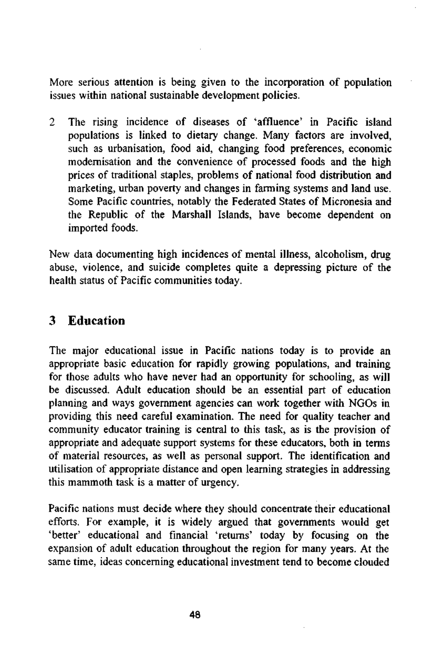More serious attention is being given to the incorporation of population issues within national sustainable development policies.

2 The rising incidence of diseases of 'affluence' in Pacific island populations is linked to dietary change. Many factors are involved, such as urbanisation, food aid, changing food preferences, economic modernisation and the convenience of processed foods and the high prices of traditional staples, problems of national food distribution and marketing, urban poverty and changes in farming systems and land use. Some Pacific countries, notably the Federated States of Micronesia and the Republic of the Marshall Islands, have become dependent on imported foods.

New data documenting high incidences of mental illness, alcoholism, drug abuse, violence, and suicide completes quite a depressing picture of the health status of Pacific communities today.

## 3 Education

The major educational issue in Pacific nations today is to provide an appropriate basic education for rapidly growing populations, and training for those adults who have never had an opportunity for schooling, as will be discussed. Adult education should be an essential part of education planning and ways government agencies can work together with NGOs in providing this need careful examination. The need for quality teacher and community educator training is central to this task, as is the provision of appropriate and adequate support systems for these educators, both in terms of material resources, as well as personal support. The identification and utilisation of appropriate distance and open learning strategies in addressing this mammoth task is a matter of urgency.

Pacific nations must decide where they should concentrate their educational efforts. For example, it is widely argued that governments would get 'better' educational and financial 'returns' today by focusing on the expansion of adult education throughout the region for many years. At the same time, ideas concerning educational investment tend to become clouded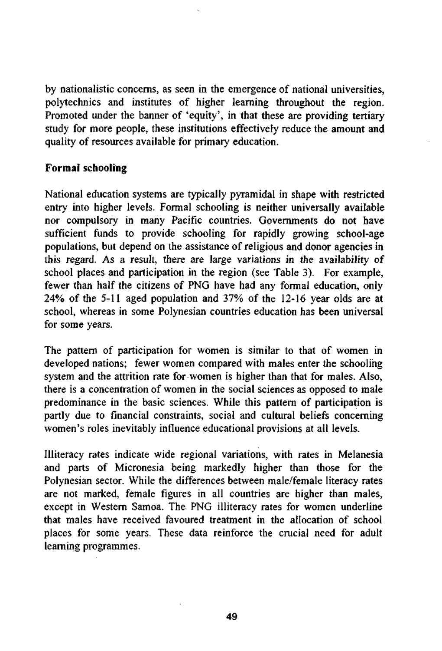by nationalistic concerns, as seen in the emergence of national universities, polytechnics and institutes of higher learning throughout the region. Promoted under the banner of 'equity', in that these are providing tertiary study for more people, these institutions effectively reduce the amount and quality of resources available for primary education.

### **Formal schooling**

National education systems are typically pyramidal in shape with restricted entry into higher levels. Formal schooling is neither universally available nor compulsory in many Pacific countries. Governments do not have sufficient funds to provide schooling for rapidly growing school-age populations, but depend on the assistance of religious and donor agencies in this regard. As a result, there are large variations in the availability of school places and participation in the region (see Table 3). For example, fewer than half the citizens of PNG have had any formal education, only 24% of the 5-11 aged population and 37% of the 12-16 year olds are at school, whereas in some Polynesian countries education has been universal for some years.

The pattern of participation for women is similar to that of women in developed nations; fewer women compared with males enter the schooling system and the attrition rate for women is higher than that for males. Also, there is a concentration of women in the social sciences as opposed to male predominance in the basic sciences. While this pattern of participation is partly due to financial constraints, social and cultural beliefs concerning women's roles inevitably influence educational provisions at all levels.

Illiteracy rates indicate wide regional variations, with rates in Melanesia and parts of Micronesia being markedly higher than those for the Polynesian sector. While the differences between male/female literacy rates are not marked, female figures in all countries are higher than males, except in Western Samoa. The PNG illiteracy rates for women underline that males have received favoured treatment in the allocation of school places for some years. These data reinforce the crucial need for adult learning programmes.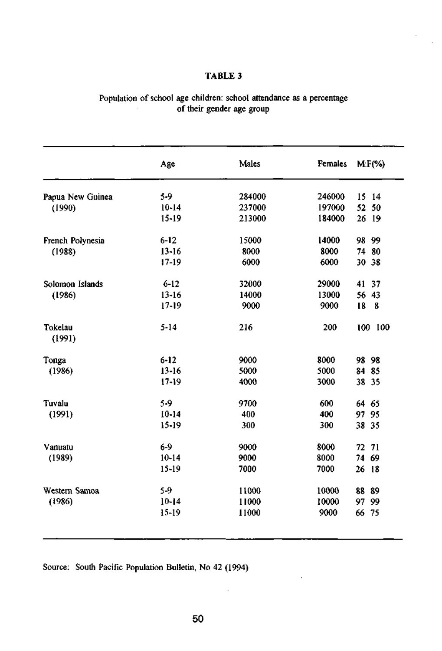### **TABLE 3**

 $\cdot$  $\bar{z}$ 

| Population of school age children: school attendance as a percentage |
|----------------------------------------------------------------------|
| of their gender age group                                            |

|                   | Age       | Males  | Females | $M.F(\%)$ |
|-------------------|-----------|--------|---------|-----------|
| Papua New Guinea  | 5-9       | 284000 | 246000  | 15 14     |
| (1990)            | $10 - 14$ | 237000 | 197000  | 52 50     |
|                   | $15 - 19$ | 213000 | 184000  | 26 19     |
| French Polynesia  | $6 - 12$  | 15000  | 14000   | 98 99     |
| (1988)            | $13 - 16$ | 8000   | 8000    | 74 80     |
|                   | $17-19$   | 6000   | 6000    | 30 38     |
| Solomon Islands   | $6 - 12$  | 32000  | 29000   | 41 37     |
| (1986)            | $13 - 16$ | 14000  | 13000   | 56 43     |
|                   | $17 - 19$ | 9000   | 9000    | 18<br>- 8 |
| Tokelau<br>(1991) | $5 - 14$  | 216    | 200     | 100 100   |
| Tonga             | $6 - 12$  | 9000   | 8000    | 98 98     |
| (1986)            | $13 - 16$ | 5000   | 5000    | 84 85     |
|                   | $17 - 19$ | 4000   | 3000    | 38 35     |
| Tuvalu            | 5-9       | 9700   | 600     | 64 65     |
| (1991)            | $10 - 14$ | 400    | 400     | 97 95     |
|                   | $15 - 19$ | 300    | 300     | 38 35     |
| Vanuatu           | $6-9$     | 9000   | 8000    | 72 71     |
| (1989)            | $10 - 14$ | 9000   | 8000    | 74 69     |
|                   | $15 - 19$ | 7000   | 7000    | 26 18     |
| Western Samoa     | 5-9       | 11000  | 10000   | 88 89     |
| (1986)            | $10 - 14$ | 11000  | 10000   | 97 99     |
|                   | $15 - 19$ | 11000  | 9000    | 66 75     |

Source: South Pacific Population Bulletin, No 42 (1994)

 $\cdot$ 

J.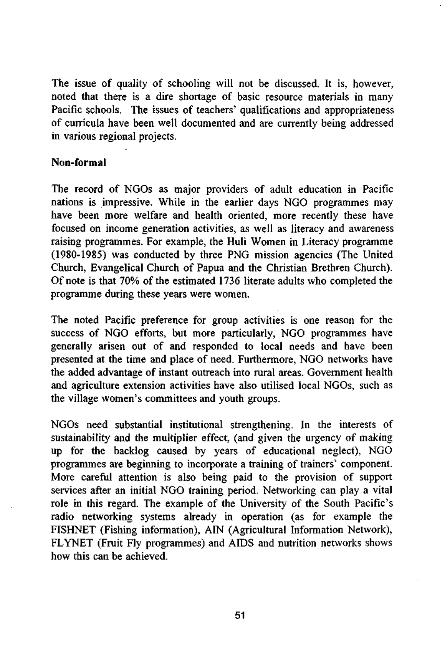The issue of quality of schooling will not be discussed. It is, however, noted that there is a dire shortage of basic resource materials in many Pacific schools. The issues of teachers' qualifications and appropriateness of curricula have been well documented and are currently being addressed in various regional projects.

### **Non-formal**

The record of NGOs as major providers of adult education in Pacific nations is impressive. While in the earlier days NGO programmes may have been more welfare and health oriented, more recently these have focused on income generation activities, as well as literacy and awareness raising programmes. For example, the Huli Women in Literacy programme (1980-1985) was conducted by three PNG mission agencies (The United Church, Evangelical Church of Papua and the Christian Brethren Church). Of note is that 70% of the estimated 1736 literate adults who completed the programme during these years were women.

The noted Pacific preference for group activities is one reason for the success of NGO efforts, but more particularly, NGO programmes have generally arisen out of and responded to local needs and have been presented at the time and place of need. Furthermore, NGO networks have the added advantage of instant outreach into rural areas. Government health and agriculture extension activities have also utilised local NGOs, such as the village women's committees and youth groups.

NGOs need substantial institutional strengthening. In the interests of sustainability and the multiplier effect, (and given the urgency of making up for the backlog caused by years of educational neglect), NGO programmes are beginning to incorporate a training of trainers' component. More careful attention is also being paid to the provision of support services after an initial NGO training period. Networking can play a vital role in this regard. The example of the University of the South Pacific's radio networking systems already in operation (as for example the FISHNET (Fishing information), AIN (Agricultural Information Network), FLYNET (Fruit Fly programmes) and AIDS and nutrition networks shows how this can be achieved.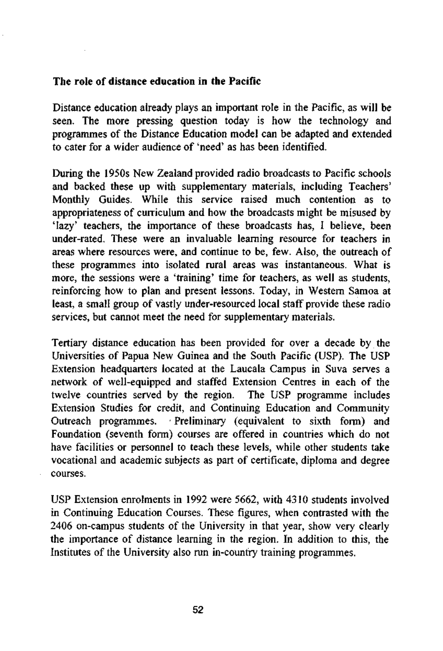### **The role of distance education in the Pacific**

Distance education already plays an important role in the Pacific, as will be seen. The more pressing question today is how the technology and programmes of the Distance Education model can be adapted and extended to cater for a wider audience of 'need' as has been identified.

During the 1950s New Zealand provided radio broadcasts to Pacific schools and backed these up with supplementary materials, including Teachers' Monthly Guides. While this service raised much contention as to appropriateness of curriculum and how the broadcasts might be misused by 'lazy' teachers, the importance of these broadcasts has, I believe, been under-rated. These were an invaluable learning resource for teachers in areas where resources were, and continue to be, few. Also, the outreach of these programmes into isolated rural areas was instantaneous. What is more, the sessions were a 'training' time for teachers, as well as students, reinforcing how to plan and present lessons. Today, in Western Samoa at least, a small group of vastly under-resourced local staff provide these radio services, but cannot meet the need for supplementary materials.

Tertiary distance education has been provided for over a decade by the Universities of Papua New Guinea and the South Pacific (USP). The USP Extension headquarters located at the Laucala Campus in Suva serves a network of well-equipped and staffed Extension Centres in each of the twelve countries served by the region. The USP programme includes Extension Studies for credit, and Continuing Education and Community Outreach programmes. • Preliminary (equivalent to sixth form) and Foundation (seventh form) courses are offered in countries which do not have facilities or personnel to teach these levels, while other students take vocational and academic subjects as part of certificate, diploma and degree courses.

USP Extension enrolments in 1992 were 5662, with 4310 students involved in Continuing Education Courses. These figures, when contrasted with the 2406 on-campus students of the University in that year, show very clearly the importance of distance learning in the region. In addition to this, the Institutes of the University also run in-country training programmes.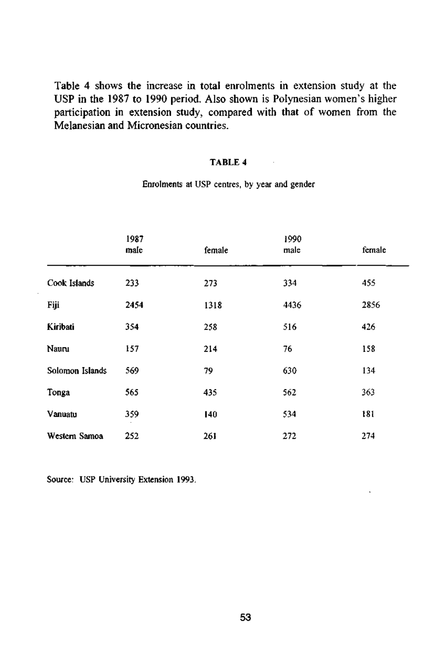Table 4 shows the increase in total enrolments in extension study at the USP in the 1987 to 1990 period. Also shown is Polynesian women's higher participation in extension study, compared with that of women from the Melanesian and Micronesian countries.

### TABLE 4

Enrolments at USP centres, by year and gender

|                 | 1987<br>male | female | 1990<br>male | female |
|-----------------|--------------|--------|--------------|--------|
| Cook Islands    | 233          | 273    | 334          | 455    |
| Fiji            | 2454         | 1318   | 4436         | 2856   |
| Kiribati        | 354          | 258    | 516          | 426    |
| Nauru           | 157          | 214    | 76           | 158    |
| Solomon Islands | 569          | 79     | 630          | 134    |
| Tonga           | 565          | 435    | 562          | 363    |
| Vanuatu         | 359          | 140    | 534          | 181    |
| Western Samoa   | 252          | 261    | 272          | 274    |

Source: USP University Extension 1993.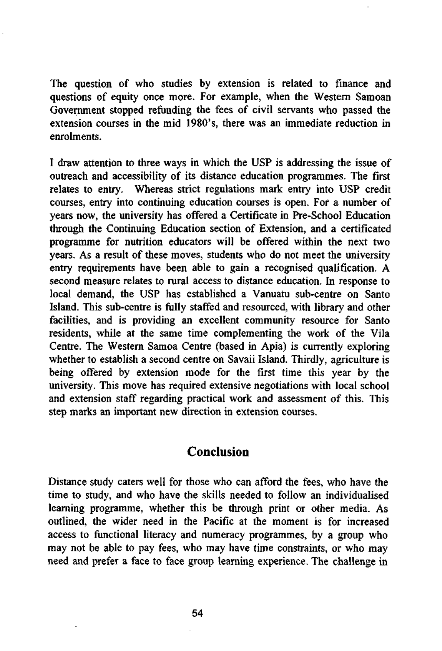The question of who studies by extension is related to finance and questions of equity once more. For example, when the Western Samoan Government stopped refunding the fees of civil servants who passed the extension courses in the mid 1980's, there was an immediate reduction in enrolments.

I draw attention to three ways in which the USP is addressing the issue of outreach and accessibility of its distance education programmes. The first relates to entry. Whereas strict regulations mark entry into USP credit courses, entry into continuing education courses is open. For a number of years now, the university has offered a Certificate in Pre-School Education through the Continuing Education section of Extension, and a certificated programme for nutrition educators will be offered within the next two years. As a result of these moves, students who do not meet the university entry requirements have been able to gain a recognised qualification. A second measure relates to rural access to distance education. In response to local demand, the USP has established a Vanuatu sub-centre on Santo Island. This sub-centre is fully staffed and resourced, with library and other facilities, and is providing an excellent community resource for Santo residents, while at the same time complementing the work of the Vila Centre. The Western Samoa Centre (based in Apia) is currently exploring whether to establish a second centre on Savaii Island. Thirdly, agriculture is being offered by extension mode for the first time this year by the university. This move has required extensive negotiations with local school and extension staff regarding practical work and assessment of this. This step marks an important new direction in extension courses.

### Conclusion

Distance study caters well for those who can afford the fees, who have the time to study, and who have the skills needed to follow an individualised learning programme, whether this be through print or other media. As outlined, the wider need in the Pacific at the moment is for increased access to functional literacy and numeracy programmes, by a group who may not be able to pay fees, who may have time constraints, or who may need and prefer a face to face group learning experience. The challenge in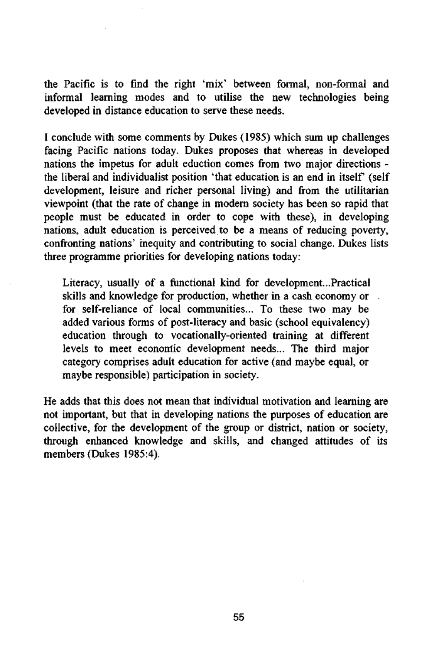the Pacific is to find the right 'mix' between formal, non-formal and informal learning modes and to utilise the new technologies being developed in distance education to serve these needs.

I conclude with some comments by Dukes (1985) which sum up challenges facing Pacific nations today. Dukes proposes that whereas in developed nations the impetus for adult eduction comes from two major directions the liberal and individualist position 'that education is an end in itself (self development, leisure and richer personal living) and from the utilitarian viewpoint (that the rate of change in modern society has been so rapid that people must be educated in order to cope with these), in developing nations, adult education is perceived to be a means of reducing poverty, confronting nations' inequity and contributing to social change. Dukes lists three programme priorities for developing nations today:

Literacy, usually of a functional kind for development...Practical skills and knowledge for production, whether in a cash economy or , for self-reliance of local communities... To these two may be added various forms of post-literacy and basic (school equivalency) education through to vocationally-oriented training at different levels to meet economic development needs... The third major category comprises adult education for active (and maybe equal, or maybe responsible) participation in society.

He adds that this does not mean that individual motivation and learning are not important, but that in developing nations the purposes of education are collective, for the development of the group or district, nation or society, through enhanced knowledge and skills, and changed attitudes of its members (Dukes 1985:4).